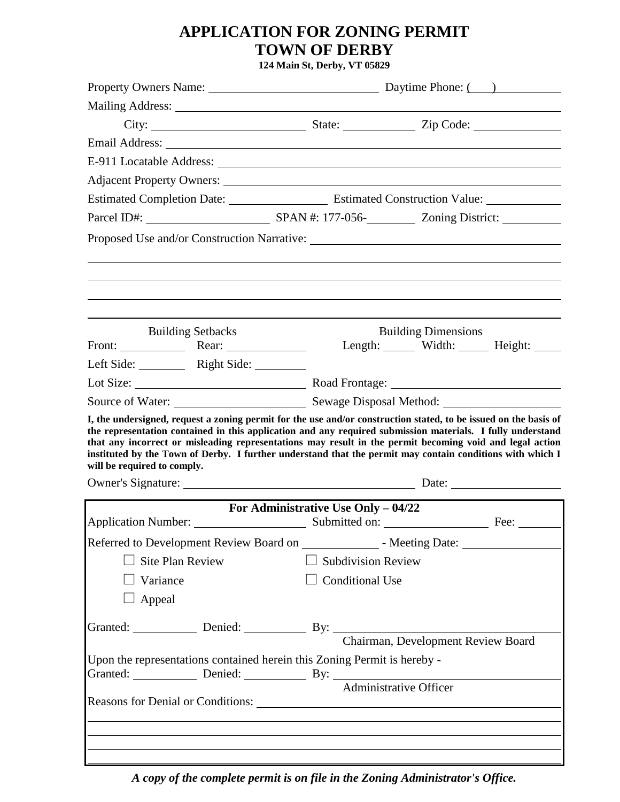# **APPLICATION FOR ZONING PERMIT TOWN OF DERBY**

**124 Main St, Derby, VT 05829**

|                                                                                                                                                                                                                                                                                                                                                                    |                                         | Property Owners Name: Daytime Phone: () |  |  |
|--------------------------------------------------------------------------------------------------------------------------------------------------------------------------------------------------------------------------------------------------------------------------------------------------------------------------------------------------------------------|-----------------------------------------|-----------------------------------------|--|--|
|                                                                                                                                                                                                                                                                                                                                                                    | <u> 1980 - Johann Barbara, martxa a</u> |                                         |  |  |
|                                                                                                                                                                                                                                                                                                                                                                    |                                         |                                         |  |  |
|                                                                                                                                                                                                                                                                                                                                                                    |                                         |                                         |  |  |
|                                                                                                                                                                                                                                                                                                                                                                    |                                         |                                         |  |  |
|                                                                                                                                                                                                                                                                                                                                                                    |                                         |                                         |  |  |
|                                                                                                                                                                                                                                                                                                                                                                    |                                         |                                         |  |  |
|                                                                                                                                                                                                                                                                                                                                                                    |                                         |                                         |  |  |
|                                                                                                                                                                                                                                                                                                                                                                    |                                         |                                         |  |  |
| <b>Building Setbacks</b>                                                                                                                                                                                                                                                                                                                                           |                                         | <b>Building Dimensions</b>              |  |  |
| Front: Rear:<br>Left Side: Right Side:                                                                                                                                                                                                                                                                                                                             |                                         | Length: Width: Height: ______           |  |  |
|                                                                                                                                                                                                                                                                                                                                                                    |                                         |                                         |  |  |
|                                                                                                                                                                                                                                                                                                                                                                    |                                         |                                         |  |  |
| the representation contained in this application and any required submission materials. I fully understand<br>that any incorrect or misleading representations may result in the permit becoming void and legal action<br>instituted by the Town of Derby. I further understand that the permit may contain conditions with which I<br>will be required to comply. |                                         |                                         |  |  |
|                                                                                                                                                                                                                                                                                                                                                                    |                                         |                                         |  |  |
|                                                                                                                                                                                                                                                                                                                                                                    | For Administrative Use Only $-04/22$    |                                         |  |  |
|                                                                                                                                                                                                                                                                                                                                                                    |                                         |                                         |  |  |
|                                                                                                                                                                                                                                                                                                                                                                    |                                         |                                         |  |  |
| <b>Site Plan Review</b>                                                                                                                                                                                                                                                                                                                                            | $\Box$ Subdivision Review               |                                         |  |  |
| $\Box$ Variance                                                                                                                                                                                                                                                                                                                                                    | $\Box$ Conditional Use                  |                                         |  |  |
| $\Box$ Appeal                                                                                                                                                                                                                                                                                                                                                      |                                         |                                         |  |  |
|                                                                                                                                                                                                                                                                                                                                                                    |                                         |                                         |  |  |
| Granted: Denied: Denied: By: By: Chairman, Development Review Board                                                                                                                                                                                                                                                                                                |                                         |                                         |  |  |
| Upon the representations contained herein this Zoning Permit is hereby -<br>Granted: Denied: Denied: By: Administrative Officer                                                                                                                                                                                                                                    |                                         |                                         |  |  |
|                                                                                                                                                                                                                                                                                                                                                                    |                                         |                                         |  |  |
|                                                                                                                                                                                                                                                                                                                                                                    |                                         |                                         |  |  |
|                                                                                                                                                                                                                                                                                                                                                                    |                                         |                                         |  |  |
|                                                                                                                                                                                                                                                                                                                                                                    |                                         |                                         |  |  |

*A copy of the complete permit is on file in the Zoning Administrator's Office.*

 $\mathbf l$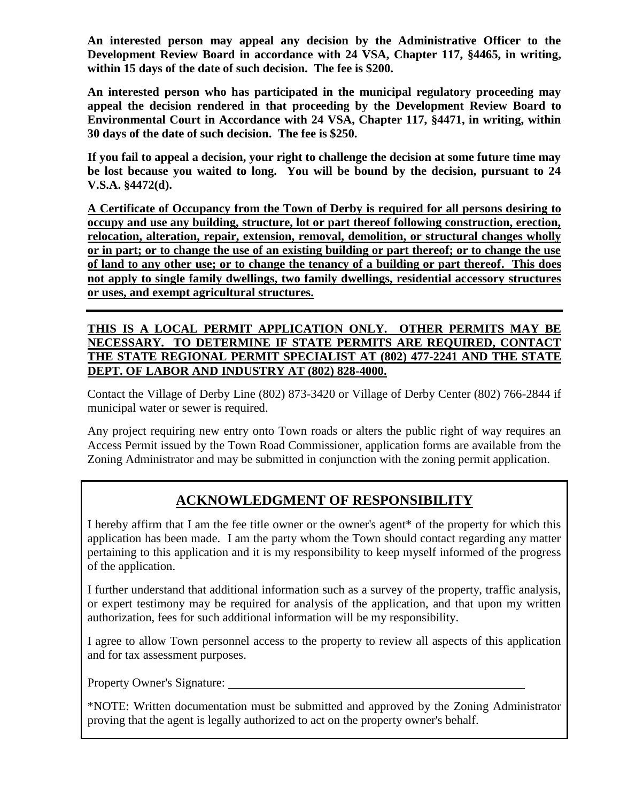**An interested person may appeal any decision by the Administrative Officer to the Development Review Board in accordance with 24 VSA, Chapter 117, §4465, in writing, within 15 days of the date of such decision. The fee is \$200.**

**An interested person who has participated in the municipal regulatory proceeding may appeal the decision rendered in that proceeding by the Development Review Board to Environmental Court in Accordance with 24 VSA, Chapter 117, §4471, in writing, within 30 days of the date of such decision. The fee is \$250.**

**If you fail to appeal a decision, your right to challenge the decision at some future time may be lost because you waited to long. You will be bound by the decision, pursuant to 24 V.S.A. §4472(d).**

**A Certificate of Occupancy from the Town of Derby is required for all persons desiring to occupy and use any building, structure, lot or part thereof following construction, erection, relocation, alteration, repair, extension, removal, demolition, or structural changes wholly or in part; or to change the use of an existing building or part thereof; or to change the use of land to any other use; or to change the tenancy of a building or part thereof. This does not apply to single family dwellings, two family dwellings, residential accessory structures or uses, and exempt agricultural structures.**

## **THIS IS A LOCAL PERMIT APPLICATION ONLY. OTHER PERMITS MAY BE NECESSARY. TO DETERMINE IF STATE PERMITS ARE REQUIRED, CONTACT THE STATE REGIONAL PERMIT SPECIALIST AT (802) 477-2241 AND THE STATE DEPT. OF LABOR AND INDUSTRY AT (802) 828-4000.**

Contact the Village of Derby Line (802) 873-3420 or Village of Derby Center (802) 766-2844 if municipal water or sewer is required.

Any project requiring new entry onto Town roads or alters the public right of way requires an Access Permit issued by the Town Road Commissioner, application forms are available from the Zoning Administrator and may be submitted in conjunction with the zoning permit application.

## **ACKNOWLEDGMENT OF RESPONSIBILITY**

I hereby affirm that I am the fee title owner or the owner's agent\* of the property for which this application has been made. I am the party whom the Town should contact regarding any matter pertaining to this application and it is my responsibility to keep myself informed of the progress of the application.

I further understand that additional information such as a survey of the property, traffic analysis, or expert testimony may be required for analysis of the application, and that upon my written authorization, fees for such additional information will be my responsibility.

I agree to allow Town personnel access to the property to review all aspects of this application and for tax assessment purposes.

Property Owner's Signature:

\*NOTE: Written documentation must be submitted and approved by the Zoning Administrator proving that the agent is legally authorized to act on the property owner's behalf.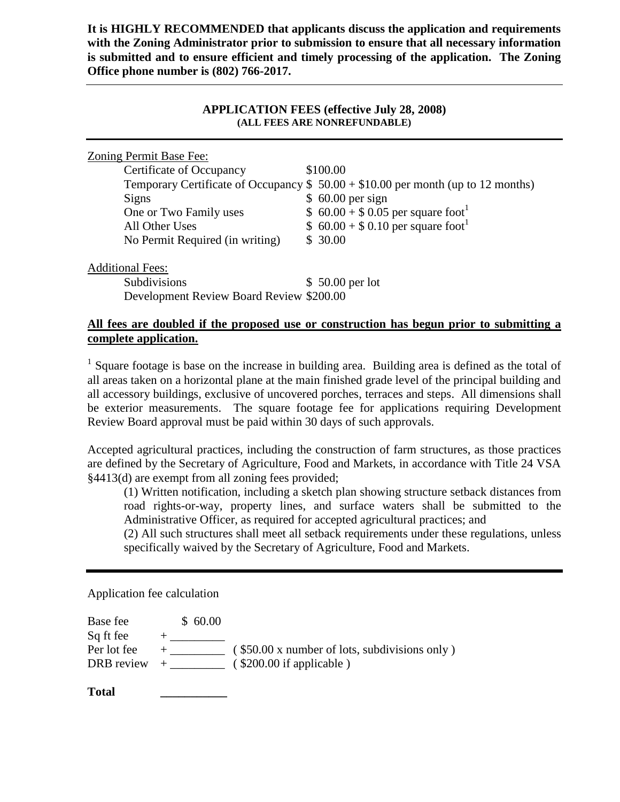**It is HIGHLY RECOMMENDED that applicants discuss the application and requirements with the Zoning Administrator prior to submission to ensure that all necessary information is submitted and to ensure efficient and timely processing of the application. The Zoning Office phone number is (802) 766-2017.**

#### **APPLICATION FEES (effective July 28, 2008) (ALL FEES ARE NONREFUNDABLE)**

| Zoning Permit Base Fee:                  |                                                                                  |
|------------------------------------------|----------------------------------------------------------------------------------|
| Certificate of Occupancy                 | \$100.00                                                                         |
|                                          | Temporary Certificate of Occupancy $$50.00 + $10.00$ per month (up to 12 months) |
| <b>Signs</b>                             | $$60.00$ per sign                                                                |
| One or Two Family uses                   | \$ $60.00 + $0.05$ per square foot <sup>1</sup>                                  |
| All Other Uses                           | \$ $60.00 + $0.10$ per square foot <sup>1</sup>                                  |
| No Permit Required (in writing)          | \$30.00                                                                          |
| <b>Additional Fees:</b>                  |                                                                                  |
| Subdivisions                             | $$50.00$ per lot                                                                 |
| Development Review Board Review \$200.00 |                                                                                  |
|                                          |                                                                                  |

### **All fees are doubled if the proposed use or construction has begun prior to submitting a complete application.**

<sup>1</sup> Square footage is base on the increase in building area. Building area is defined as the total of all areas taken on a horizontal plane at the main finished grade level of the principal building and all accessory buildings, exclusive of uncovered porches, terraces and steps. All dimensions shall be exterior measurements. The square footage fee for applications requiring Development Review Board approval must be paid within 30 days of such approvals.

Accepted agricultural practices, including the construction of farm structures, as those practices are defined by the Secretary of Agriculture, Food and Markets, in accordance with Title 24 VSA §4413(d) are exempt from all zoning fees provided;

(1) Written notification, including a sketch plan showing structure setback distances from road rights-or-way, property lines, and surface waters shall be submitted to the Administrative Officer, as required for accepted agricultural practices; and

(2) All such structures shall meet all setback requirements under these regulations, unless specifically waived by the Secretary of Agriculture, Food and Markets.

Application fee calculation

| Base fee    | \$60.00 |                                               |
|-------------|---------|-----------------------------------------------|
| Sq ft fee   |         |                                               |
| Per lot fee |         | (\$50.00 x number of lots, subdivisions only) |
| DRB review  |         | $($ \$200.00 if applicable $)$                |
|             |         |                                               |

**Total \_\_\_\_\_\_\_\_\_\_\_**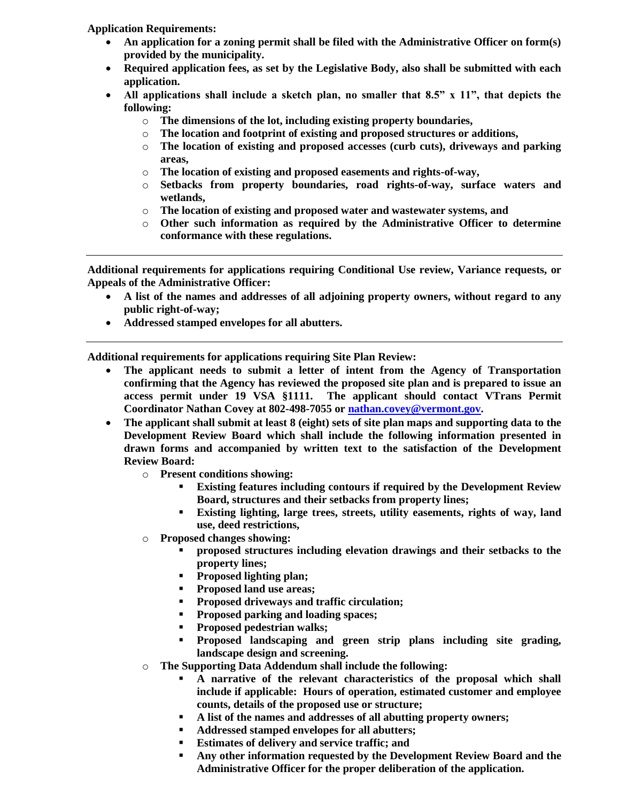**Application Requirements:**

- **An application for a zoning permit shall be filed with the Administrative Officer on form(s) provided by the municipality.**
- **Required application fees, as set by the Legislative Body, also shall be submitted with each application.**
- **All applications shall include a sketch plan, no smaller that 8.5" x 11", that depicts the following:** 
	- o **The dimensions of the lot, including existing property boundaries,**
	- o **The location and footprint of existing and proposed structures or additions,**
	- o **The location of existing and proposed accesses (curb cuts), driveways and parking areas,**
	- o **The location of existing and proposed easements and rights-of-way,**
	- o **Setbacks from property boundaries, road rights-of-way, surface waters and wetlands,**
	- o **The location of existing and proposed water and wastewater systems, and**
	- o **Other such information as required by the Administrative Officer to determine conformance with these regulations.**

**Additional requirements for applications requiring Conditional Use review, Variance requests, or Appeals of the Administrative Officer:**

- **A list of the names and addresses of all adjoining property owners, without regard to any public right-of-way;**
- **Addressed stamped envelopes for all abutters.**

**Additional requirements for applications requiring Site Plan Review:**

- **The applicant needs to submit a letter of intent from the Agency of Transportation confirming that the Agency has reviewed the proposed site plan and is prepared to issue an access permit under 19 VSA §1111. The applicant should contact VTrans Permit Coordinator Nathan Covey at 802-498-7055 o[r nathan.covey@vermont.gov.](mailto:nathan.covey@vermont.gov)**
- **The applicant shall submit at least 8 (eight) sets of site plan maps and supporting data to the Development Review Board which shall include the following information presented in drawn forms and accompanied by written text to the satisfaction of the Development Review Board:**
	- o **Present conditions showing:**
		- **Existing features including contours if required by the Development Review Board, structures and their setbacks from property lines;**
		- **Existing lighting, large trees, streets, utility easements, rights of way, land use, deed restrictions,**
	- o **Proposed changes showing:**
		- **proposed structures including elevation drawings and their setbacks to the property lines;**
		- **Proposed lighting plan;**
		- **Proposed land use areas;**
		- **Proposed driveways and traffic circulation;**
		- **Proposed parking and loading spaces;**
		- **Proposed pedestrian walks;**
		- **Proposed landscaping and green strip plans including site grading, landscape design and screening.**
	- o **The Supporting Data Addendum shall include the following:**
		- **A narrative of the relevant characteristics of the proposal which shall include if applicable: Hours of operation, estimated customer and employee counts, details of the proposed use or structure;**
		- **A list of the names and addresses of all abutting property owners;**
		- **Addressed stamped envelopes for all abutters;**
		- **Estimates of delivery and service traffic; and**
		- **Any other information requested by the Development Review Board and the Administrative Officer for the proper deliberation of the application.**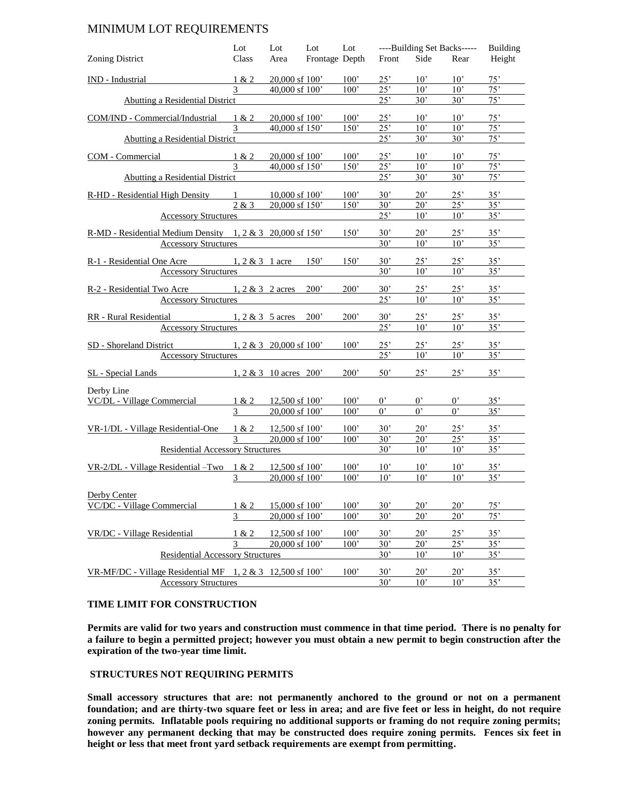#### MINIMUM LOT REQUIREMENTS

|                                                                      | Lot            | Lot                                  | Lot            | Lot           | ----Building Set Backs----- |                              | <b>Building</b>              |            |
|----------------------------------------------------------------------|----------------|--------------------------------------|----------------|---------------|-----------------------------|------------------------------|------------------------------|------------|
| <b>Zoning District</b>                                               | Class          | Area                                 | Frontage Depth |               | Front                       | Side                         | Rear                         | Height     |
| IND - Industrial                                                     | 1 & 2          | $20,000$ sf $100'$                   |                | 100'          | $25^{\circ}$                | $10^{\circ}$                 | $10^{\circ}$                 | 75'        |
|                                                                      | 3              | 40,000 sf 100'                       |                | 100'          | 25'                         | $10^{\circ}$                 | $10^{\circ}$                 | 75'        |
| Abutting a Residential District                                      |                |                                      |                |               | 25'                         | 30'                          | $30^{\circ}$                 | 75'        |
| COM/IND - Commercial/Industrial                                      | 1 & 2          | $20,000$ sf $100'$                   |                | 100'          | 25'                         | $10^{\circ}$                 | $10^{\circ}$                 | 75'        |
|                                                                      | 3              | 40,000 sf 150'                       |                | 150'          | 25'                         | 10 <sup>2</sup>              | 10'                          | 75'        |
| Abutting a Residential District                                      |                |                                      |                |               | 25'                         | 30'                          | 30'                          | 75'        |
|                                                                      |                |                                      |                |               |                             |                              |                              |            |
| COM - Commercial                                                     | 1 & 2          | 20,000 sf 100'<br>40,000 sf 150'     |                | 100'<br>150'  | 25'<br>25'                  | $10^{\circ}$<br>$10^{\circ}$ | $10^{\circ}$<br>$10^{\circ}$ | 75'<br>75' |
| Abutting a Residential District                                      |                |                                      |                |               | 25'                         | 30'                          | 30'                          | 75'        |
|                                                                      |                |                                      |                |               |                             |                              |                              |            |
| R-HD - Residential High Density                                      | $1$ and $\sim$ | $10,000$ sf $100'$                   |                | 100'          | 30'                         | 20'                          | 25'                          | 35'        |
| <b>Accessory Structures</b>                                          | 2 & 3          | 20,000 sf 150'                       |                | 150'          | 30'<br>25'                  | $20^{\circ}$<br>$10^{\circ}$ | 25'<br>$10^{\circ}$          | 35'<br>35' |
|                                                                      |                |                                      |                |               |                             |                              |                              |            |
| $R-MD$ - Residential Medium Density 1, 2 & 3 20,000 sf 150'          |                |                                      |                | 150'          | 30'                         | $20^{\circ}$                 | 25'                          | 35'        |
| <b>Accessory Structures</b>                                          |                |                                      |                |               | 30'                         | 10 <sup>2</sup>              | $10^{\circ}$                 | 35'        |
| $R-1$ - Residential One Acre 1, 2 & 3 1 acre 150'                    |                |                                      |                | 150'          | 30'                         | 25'                          | 25'                          | 35'        |
| <b>Accessory Structures</b>                                          |                |                                      |                |               | 30'                         | $10^{\circ}$                 | $10^{\circ}$                 | 35'        |
| R-2 - Residential Two Acre $1, 2 \& 3$ 2 acres 200'                  |                |                                      |                | 200'          | 30'                         | 25'                          | 25'                          | 35'        |
| <b>Accessory Structures</b>                                          |                |                                      |                |               | 25"                         | $10^{\circ}$                 | $10^{\circ}$                 | 35'        |
|                                                                      |                |                                      |                |               |                             |                              |                              |            |
| RR - Rural Residential $1, 2 \& 3 \quad 5 \text{ acres} \quad 200'$  |                |                                      |                | 200'          | 30'                         | 25'                          | 25'                          | 35'        |
| <b>Accessory Structures</b>                                          |                |                                      |                |               | 25'                         | 10'                          | 10'                          | 35'        |
| $1, 2 \& 3 \quad 20,000 \text{ sf } 100'$<br>SD - Shoreland District |                |                                      |                | 100'          | 25'                         | 25'                          | $25^{\circ}$                 | 35'        |
| <b>Accessory Structures</b>                                          |                |                                      |                |               | 25'                         | $10^{\circ}$                 | $10^{\circ}$                 | 35'        |
| $1, 2 \& 3$ 10 acres 200'<br>SL - Special Lands                      |                |                                      |                | 200'          | 50'                         | 25'                          | 25'                          | 35'        |
|                                                                      |                |                                      |                |               |                             |                              |                              |            |
| Derby Line                                                           | 1 & 2          |                                      |                | 100'          | $0^{\circ}$                 | $0^{\circ}$                  | $0^{\circ}$                  | 35'        |
| VC/DL - Village Commercial                                           | $\mathfrak{Z}$ | $12,500$ sf $100'$<br>20,000 sf 100' |                | 100'          | $0^{\circ}$                 | $0^{\circ}$                  | $0^{\circ}$                  | 35'        |
|                                                                      |                |                                      |                |               |                             |                              |                              |            |
| VR-1/DL - Village Residential-One                                    | 1 & 2          | $12,500$ sf $100'$                   |                | 100'          | $30^{\circ}$                | 20'                          | 25'                          | 35'        |
|                                                                      | 3              | 20,000 sf 100'                       |                | 100'          | $30^{\circ}$                | $20^{\circ}$                 | 25"                          | 35"        |
| <b>Residential Accessory Structures</b>                              |                |                                      |                |               | 30'                         | 10'                          | 10'                          | 35'        |
| VR-2/DL - Village Residential - Two $1 & 2$                          |                | 12,500 sf 100'                       |                | 100'          | $10^{\circ}$                | $10^{\circ}$                 | $10^{\circ}$                 | 35'        |
|                                                                      | 3              | 20,000 sf 100'                       |                | $100^{\circ}$ | $10^{\circ}$                | $10^{\circ}$                 | $10^{\circ}$                 | 35'        |
| Derby Center                                                         |                |                                      |                |               |                             |                              |                              |            |
| VC/DC - Village Commercial                                           | 1 & 2          | 15,000 sf 100'                       |                | 100'          | 30'                         | 20'                          | 20'                          | 75'        |
|                                                                      | 3              | 20,000 sf 100'                       |                | 100'          | 30'                         | 20'                          | 20'                          | 75'        |
| VR/DC - Village Residential                                          |                | 12,500 sf 100'                       |                | 100'          | 30'                         | 20'                          | 25'                          | 35'        |
|                                                                      | 1 & 2<br>3     | 20,000 sf 100'                       |                | 100'          | 30'                         | $20^{\circ}$                 | 25'                          | 35'        |
| <b>Residential Accessory Structures</b>                              |                |                                      |                |               | 30'                         | 10'                          | 10'                          | 35'        |
|                                                                      |                |                                      |                |               |                             |                              |                              |            |
| VR-MF/DC - Village Residential MF $1, 2 \& 3$ 12,500 sf 100          |                |                                      |                | 100'          | 30'<br>30'                  | 20'<br>10'                   | 20'<br>10'                   | 35'<br>35' |
| <b>Accessory Structures</b>                                          |                |                                      |                |               |                             |                              |                              |            |

#### **TIME LIMIT FOR CONSTRUCTION**

**Permits are valid for two years and construction must commence in that time period. There is no penalty for a failure to begin a permitted project; however you must obtain a new permit to begin construction after the expiration of the two-year time limit.**

#### **STRUCTURES NOT REQUIRING PERMITS**

**Small accessory structures that are: not permanently anchored to the ground or not on a permanent foundation; and are thirty-two square feet or less in area; and are five feet or less in height, do not require zoning permits. Inflatable pools requiring no additional supports or framing do not require zoning permits; however any permanent decking that may be constructed does require zoning permits. Fences six feet in height or less that meet front yard setback requirements are exempt from permitting.**